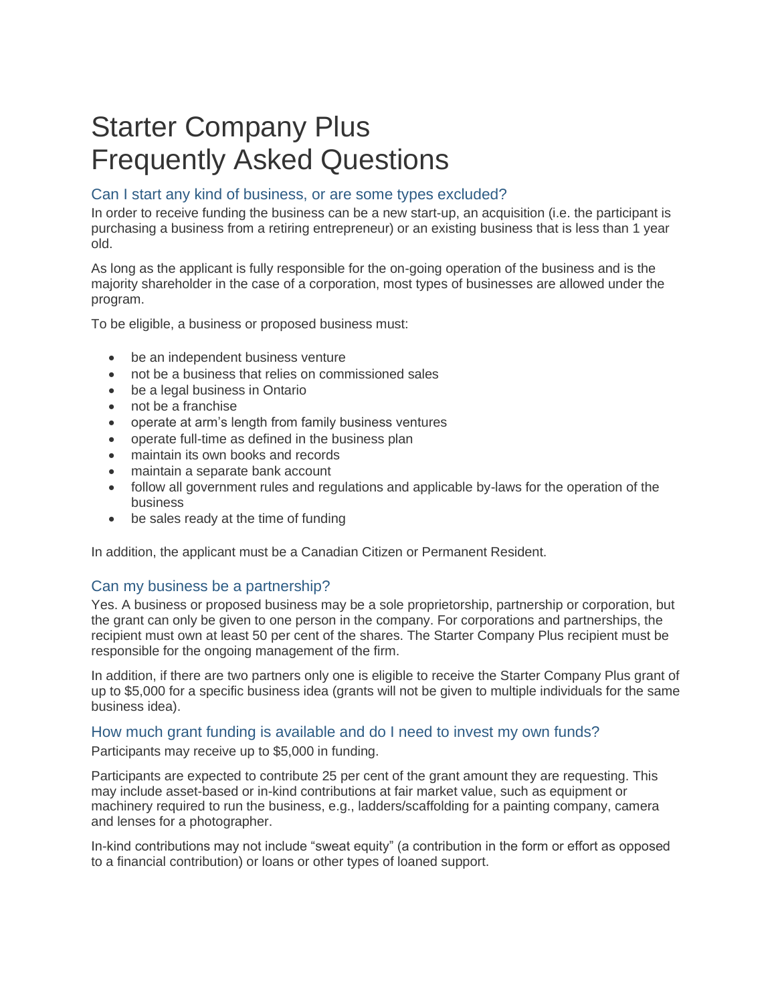# Starter Company Plus Frequently Asked Questions

## Can I start any kind of business, or are some types excluded?

In order to receive funding the business can be a new start-up, an acquisition (i.e. the participant is purchasing a business from a retiring entrepreneur) or an existing business that is less than 1 year old.

As long as the applicant is fully responsible for the on-going operation of the business and is the majority shareholder in the case of a corporation, most types of businesses are allowed under the program.

To be eligible, a business or proposed business must:

- be an independent business venture
- not be a business that relies on commissioned sales
- be a legal business in Ontario
- not be a franchise
- operate at arm's length from family business ventures
- operate full-time as defined in the business plan
- maintain its own books and records
- maintain a separate bank account
- follow all government rules and regulations and applicable by-laws for the operation of the business
- be sales ready at the time of funding

In addition, the applicant must be a Canadian Citizen or Permanent Resident.

#### Can my business be a partnership?

Yes. A business or proposed business may be a sole proprietorship, partnership or corporation, but the grant can only be given to one person in the company. For corporations and partnerships, the recipient must own at least 50 per cent of the shares. The Starter Company Plus recipient must be responsible for the ongoing management of the firm.

In addition, if there are two partners only one is eligible to receive the Starter Company Plus grant of up to \$5,000 for a specific business idea (grants will not be given to multiple individuals for the same business idea).

#### How much grant funding is available and do I need to invest my own funds?

Participants may receive up to \$5,000 in funding.

Participants are expected to contribute 25 per cent of the grant amount they are requesting. This may include asset-based or in-kind contributions at fair market value, such as equipment or machinery required to run the business, e.g., ladders/scaffolding for a painting company, camera and lenses for a photographer.

In-kind contributions may not include "sweat equity" (a contribution in the form or effort as opposed to a financial contribution) or loans or other types of loaned support.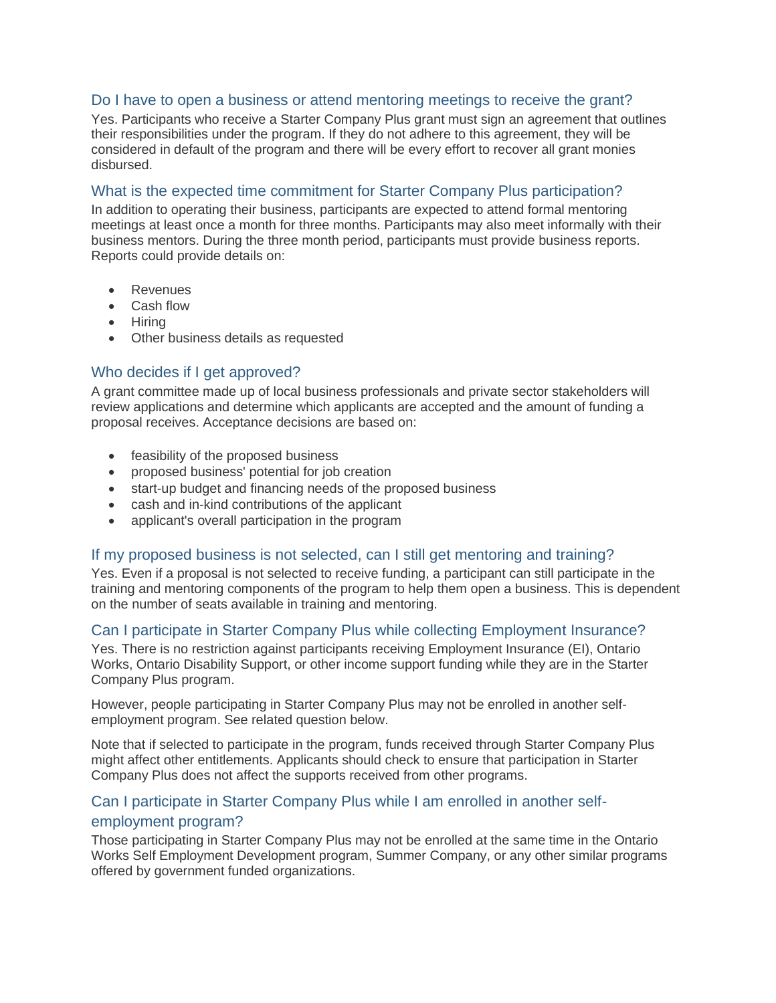#### Do I have to open a business or attend mentoring meetings to receive the grant?

Yes. Participants who receive a Starter Company Plus grant must sign an agreement that outlines their responsibilities under the program. If they do not adhere to this agreement, they will be considered in default of the program and there will be every effort to recover all grant monies disbursed.

## What is the expected time commitment for Starter Company Plus participation?

In addition to operating their business, participants are expected to attend formal mentoring meetings at least once a month for three months. Participants may also meet informally with their business mentors. During the three month period, participants must provide business reports. Reports could provide details on:

- Revenues
- Cash flow
- Hiring
- Other business details as requested

## Who decides if I get approved?

A grant committee made up of local business professionals and private sector stakeholders will review applications and determine which applicants are accepted and the amount of funding a proposal receives. Acceptance decisions are based on:

- feasibility of the proposed business
- proposed business' potential for job creation
- start-up budget and financing needs of the proposed business
- cash and in-kind contributions of the applicant
- applicant's overall participation in the program

## If my proposed business is not selected, can I still get mentoring and training?

Yes. Even if a proposal is not selected to receive funding, a participant can still participate in the training and mentoring components of the program to help them open a business. This is dependent on the number of seats available in training and mentoring.

## Can I participate in Starter Company Plus while collecting Employment Insurance?

Yes. There is no restriction against participants receiving Employment Insurance (EI), Ontario Works, Ontario Disability Support, or other income support funding while they are in the Starter Company Plus program.

However, people participating in Starter Company Plus may not be enrolled in another selfemployment program. See related question below.

Note that if selected to participate in the program, funds received through Starter Company Plus might affect other entitlements. Applicants should check to ensure that participation in Starter Company Plus does not affect the supports received from other programs.

## Can I participate in Starter Company Plus while I am enrolled in another selfemployment program?

Those participating in Starter Company Plus may not be enrolled at the same time in the Ontario Works Self Employment Development program, Summer Company, or any other similar programs offered by government funded organizations.